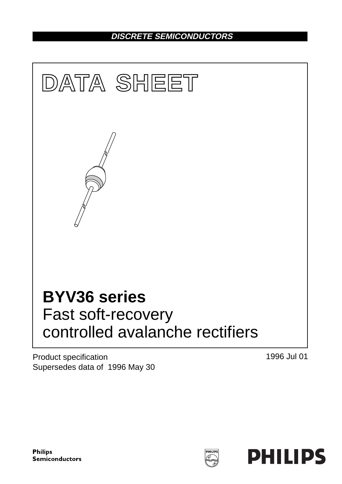# **DISCRETE SEMICONDUCTORS**



Product specification Supersedes data of 1996 May 30 1996 Jul 01

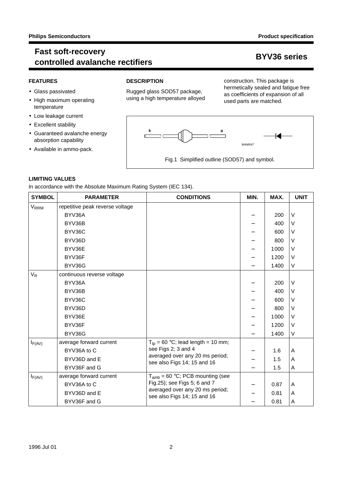### **Fast soft-recovery controlled avalanche rectifiers BYV36 series**

### **FEATURES**

- Glass passivated
- High maximum operating temperature
- Low leakage current
- Excellent stability
- Guaranteed avalanche energy absorption capability
- Available in ammo-pack.

### **DESCRIPTION**

Rugged glass SOD57 package, using a high temperature alloyed

construction. This package is hermetically sealed and fatigue free as coefficients of expansion of all used parts are matched.



### **LIMITING VALUES**

In accordance with the Absolute Maximum Rating System (IEC 134).

| <b>SYMBOL</b>          | <b>PARAMETER</b>                | <b>CONDITIONS</b>                                                                              | MIN. | MAX. | <b>UNIT</b> |
|------------------------|---------------------------------|------------------------------------------------------------------------------------------------|------|------|-------------|
| <b>V<sub>RRM</sub></b> | repetitive peak reverse voltage |                                                                                                |      |      |             |
|                        | BYV36A                          |                                                                                                |      | 200  | $\vee$      |
|                        | BYV36B                          |                                                                                                |      | 400  | V           |
|                        | BYV36C                          |                                                                                                |      | 600  | V           |
|                        | BYV36D                          |                                                                                                |      | 800  | V           |
|                        | BYV36E                          |                                                                                                |      | 1000 | V           |
|                        | BYV36F                          |                                                                                                |      | 1200 | V           |
|                        | BYV36G                          |                                                                                                |      | 1400 | V           |
| $V_R$                  | continuous reverse voltage      |                                                                                                |      |      |             |
|                        | BYV36A                          |                                                                                                |      | 200  | $\vee$      |
|                        | BYV36B                          |                                                                                                |      | 400  | V           |
|                        | BYV36C                          |                                                                                                |      | 600  | V           |
|                        | BYV36D                          |                                                                                                |      | 800  | V           |
|                        | BYV36E                          |                                                                                                |      | 1000 | V           |
|                        | BYV36F                          |                                                                                                |      | 1200 | V           |
|                        | BYV36G                          |                                                                                                |      | 1400 | V           |
| $I_{F(AV)}$            | average forward current         | $T_{tp} = 60 °C$ ; lead length = 10 mm;                                                        |      |      |             |
|                        | BYV36A to C                     | see Figs 2; 3 and 4<br>averaged over any 20 ms period;<br>see also Figs 14; 15 and 16          |      | 1.6  | A           |
|                        | BYV36D and E                    |                                                                                                |      | 1.5  | A           |
|                        | BYV36F and G                    |                                                                                                |      | 1.5  | A           |
| $I_{F(AV)}$            | average forward current         | $T_{amb}$ = 60 °C; PCB mounting (see                                                           |      |      |             |
|                        | BYV36A to C                     | Fig.25); see Figs 5; 6 and 7<br>averaged over any 20 ms period;<br>see also Figs 14; 15 and 16 |      | 0.87 | A           |
|                        | BYV36D and E                    |                                                                                                |      | 0.81 | A           |
|                        | BYV36F and G                    |                                                                                                |      | 0.81 | A           |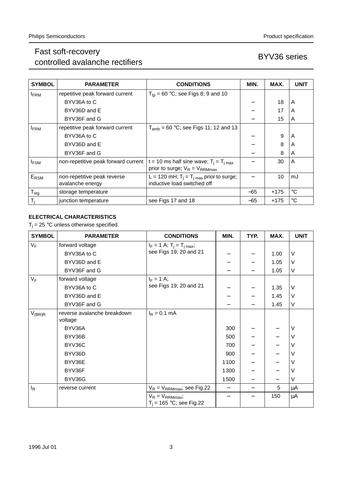# Fast soft-recovery rast soit-recovery<br>controlled avalanche rectifiers by the series BYV36 series

| <b>SYMBOL</b>    | <b>PARAMETER</b>                                | <b>CONDITIONS</b>                                                            | MIN.  | MAX.   | <b>UNIT</b> |
|------------------|-------------------------------------------------|------------------------------------------------------------------------------|-------|--------|-------------|
| <b>FRM</b>       | repetitive peak forward current                 | $T_{\text{tp}}$ = 60 °C; see Figs 8; 9 and 10                                |       |        |             |
|                  | BYV36A to C                                     |                                                                              |       | 18     | A           |
|                  | BYV36D and E                                    |                                                                              |       | 17     | A           |
|                  | BYV36F and G                                    |                                                                              |       | 15     | A           |
| <b>IFRM</b>      | repetitive peak forward current                 | $T_{amb}$ = 60 °C; see Figs 11; 12 and 13                                    |       |        |             |
|                  | BYV36A to C                                     |                                                                              |       | 9      | A           |
|                  | BYV36D and E                                    |                                                                              |       | 8      | A           |
|                  | BYV36F and G                                    |                                                                              |       | 8      | A           |
| <b>IFSM</b>      | non-repetitive peak forward current             | t = 10 ms half sine wave; $T_i = T_{i \text{ max}}$                          |       | 30     | A           |
|                  |                                                 | prior to surge; $V_R = V_{RRMmax}$                                           |       |        |             |
| E <sub>RSM</sub> | non-repetitive peak reverse<br>avalanche energy | L = 120 mH; $T_i = T_{i max}$ prior to surge;<br>inductive load switched off |       | 10     | mJ          |
| $T_{\text{stg}}$ | storage temperature                             |                                                                              | $-65$ | $+175$ | $^{\circ}C$ |
| $T_i$            | junction temperature                            | see Figs 17 and 18                                                           | $-65$ | $+175$ | $^{\circ}C$ |

### **ELECTRICAL CHARACTERISTICS**

 $T_i = 25$  °C unless otherwise specified.

| <b>SYMBOL</b> | <b>PARAMETER</b>                       | <b>CONDITIONS</b>                                 | MIN.                     | TYP. | MAX. | <b>UNIT</b> |
|---------------|----------------------------------------|---------------------------------------------------|--------------------------|------|------|-------------|
| $V_F$         | forward voltage                        | $I_F = 1$ A; $T_i = T_{i max}$ ;                  |                          |      |      |             |
|               | BYV36A to C                            | see Figs 19; 20 and 21                            |                          |      | 1.00 | $\vee$      |
|               | BYV36D and E                           |                                                   |                          |      | 1.05 | V           |
|               | BYV36F and G                           |                                                   |                          |      | 1.05 | V           |
| $V_F$         | forward voltage                        | $I_F = 1$ A;                                      |                          |      |      |             |
|               | BYV36A to C                            | see Figs 19; 20 and 21                            |                          |      | 1.35 | V           |
|               | BYV36D and E                           |                                                   |                          |      | 1.45 | V           |
|               | BYV36F and G                           |                                                   |                          |      | 1.45 | V           |
| $V_{(BR)R}$   | reverse avalanche breakdown<br>voltage | $I_R = 0.1$ mA                                    |                          |      |      |             |
|               | BYV36A                                 |                                                   | 300                      |      |      | V           |
|               | BYV36B                                 |                                                   | 500                      |      |      | V           |
|               | BYV36C                                 |                                                   | 700                      |      |      | V           |
|               | BYV36D                                 |                                                   | 900                      |      |      | V           |
|               | BYV36E                                 |                                                   | 1100                     |      |      | V           |
|               | BYV36F                                 |                                                   | 1300                     |      |      | V           |
|               | BYV36G                                 |                                                   | 1500                     |      |      | V           |
| $I_R$         | reverse current                        | $V_R$ = $V_{RRMmax}$ ; see Fig.22                 | $\overline{\phantom{0}}$ |      | 5    | μA          |
|               |                                        | $V_R = V_{RRMmax}$<br>$T_i = 165 °C$ ; see Fig.22 |                          |      | 150  | μA          |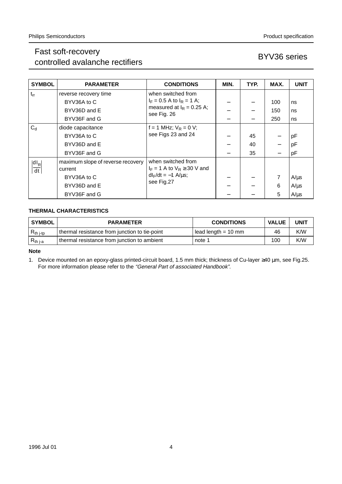# Fast soft-recovery rast soft-recovery<br>controlled avalanche rectifiers by the series BYV36 series

| <b>SYMBOL</b>              | <b>PARAMETER</b>                             | <b>CONDITIONS</b>                                       | MIN. | TYP. | MAX.              | <b>UNIT</b> |
|----------------------------|----------------------------------------------|---------------------------------------------------------|------|------|-------------------|-------------|
| $t_{rr}$                   | reverse recovery time                        | when switched from                                      |      |      |                   |             |
|                            | BYV36A to C                                  | $I_F = 0.5$ A to $I_R = 1$ A;                           |      |      | 100               | ns          |
|                            | BYV36D and E                                 | measured at $I_R = 0.25$ A;<br>see Fig. 26              |      |      | 150               | ns          |
|                            | BYV36F and G                                 |                                                         |      |      | 250               | ns          |
| $C_d$                      | diode capacitance                            | f = 1 MHz; $V_R$ = 0 V;                                 |      |      |                   |             |
|                            | BYV36A to C                                  | see Figs 23 and 24                                      |      | 45   |                   | pF          |
|                            | BYV36D and E                                 |                                                         |      | 40   |                   | pF          |
|                            | BYV36F and G                                 |                                                         |      | 35   | $\qquad \qquad -$ | pF          |
| $ d _R$<br>$\overline{dt}$ | maximum slope of reverse recovery<br>current | when switched from<br>$I_F = 1$ A to $V_R \ge 30$ V and |      |      |                   |             |
|                            | BYV36A to C                                  | $dl_F/dt = -1$ A/ $\mu$ s;                              |      |      | 7                 | $A/\mu s$   |
|                            | BYV36D and E                                 | see Fig.27                                              |      |      | 6                 | $A/\mu s$   |
|                            | BYV36F and G                                 |                                                         |      |      | 5                 | $A/\mu s$   |

### **THERMAL CHARACTERISTICS**

|                                                                                          | <b>VALUE</b> | <b>UNIT</b> |
|------------------------------------------------------------------------------------------|--------------|-------------|
| thermal resistance from junction to tie-point<br>l lead length = 10 mm<br>$R_{th\ j-tp}$ | 46           | K/W         |
| thermal resistance from junction to ambient<br>$R_{th j-a}$<br>note 1                    | 100          | K/W         |

**Note**

1. Device mounted on an epoxy-glass printed-circuit board, 1.5 mm thick; thickness of Cu-layer ≥40 µm, see Fig.25. For more information please refer to the "General Part of associated Handbook".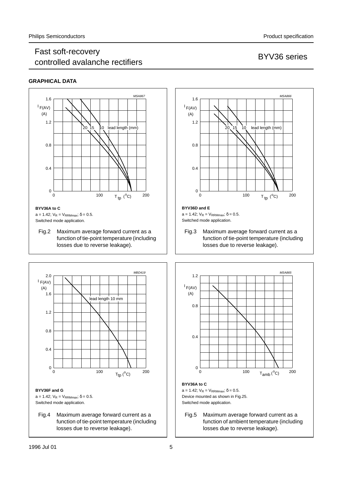### Fast soft-recovery r ast son recovery<br>controlled avalanche rectifiers and the series BYV36 series

### **GRAPHICAL DATA**





Fig.4 Maximum average forward current as a function of tie-point temperature (including losses due to reverse leakage).



### a = 1.42;  $V_R = V_{RRMmax}$ ;  $\delta = 0.5$ . Switched mode application.

Fig.3 Maximum average forward current as a function of tie-point temperature (including losses due to reverse leakage).



Fig.5 Maximum average forward current as a function of ambient temperature (including losses due to reverse leakage).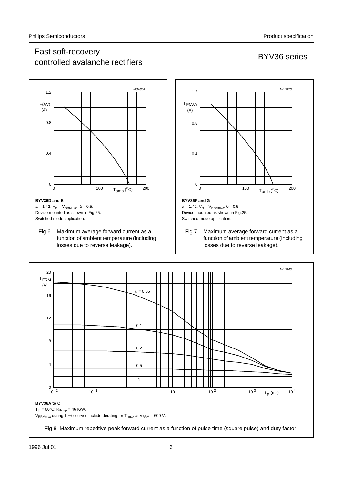## Fast soft-recovery r ast son recovery<br>controlled avalanche rectifiers and the series BYV36 series



a = 1.42;  $V_R$  =  $V_{RRMmax}$ ; δ = 0.5. Device mounted as shown in Fig.25. Switched mode application.

Fig.6 Maximum average forward current as a function of ambient temperature (including losses due to reverse leakage).



Switched mode application.

Fig.7 Maximum average forward current as a function of ambient temperature (including losses due to reverse leakage).

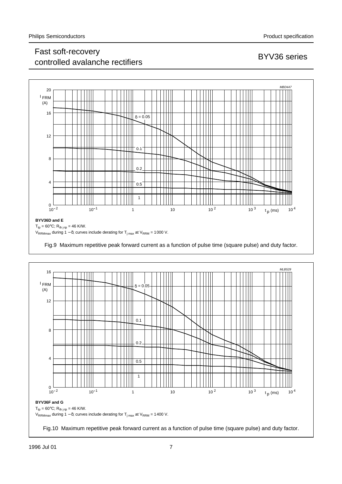## Fast soft-recovery r ast son recovery<br>controlled avalanche rectifiers by the series BYV36 series



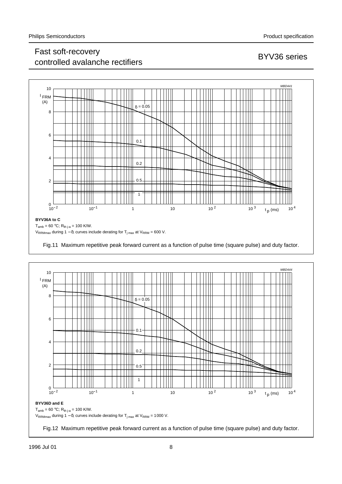## Fast soft-recovery rast soft-recovery<br>controlled avalanche rectifiers by the series BYV36 series





Fig.12 Maximum repetitive peak forward current as a function of pulse time (square pulse) and duty factor.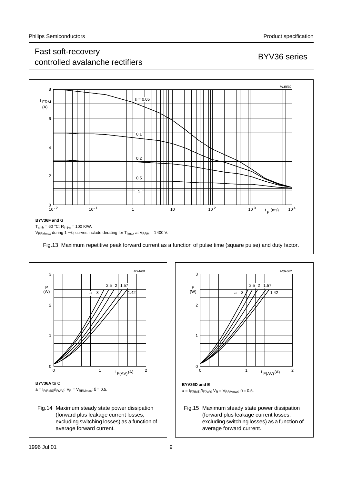## Fast soft-recovery r ast son recovery<br>controlled avalanche rectifiers and the series BYV36 series

MSA862



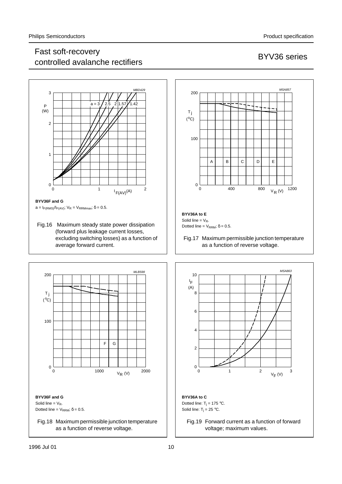## Fast soft-recovery r ast soft-recovery<br>controlled avalanche rectifiers and the series BYV36 series



 $a=I_{F(RMS)}/I_{F(AV)}$ ;  $V_R = V_{RRMmax}$ ;  $\delta = 0.5$ .

Fig.16 Maximum steady state power dissipation (forward plus leakage current losses, excluding switching losses) as a function of average forward current.





**BYV36A to E** Solid line =  $V_R$ . Dotted line =  $V_{RRM}$ ;  $\delta$  = 0.5.

Fig.17 Maximum permissible junction temperature as a function of reverse voltage.



Fig.19 Forward current as a function of forward voltage; maximum values.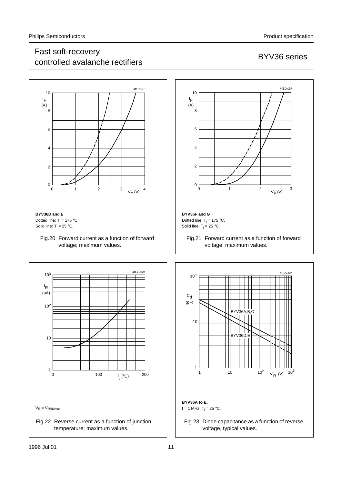## Fast soft-recovery r ast son-recovery<br>controlled avalanche rectifiers by the series BYV36 series

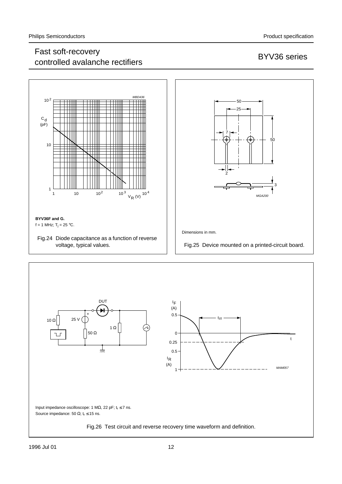# Fast soft-recovery rast soft-recovery<br>controlled avalanche rectifiers by the series BYV36 series

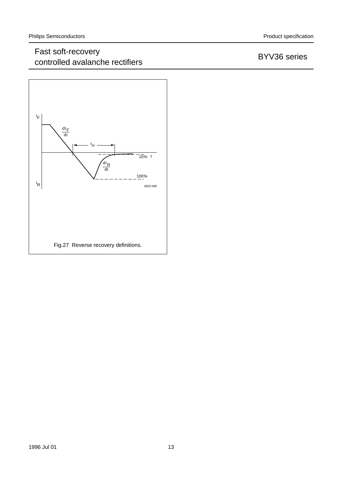# Fast soft-recovery rast soit-recovery<br>controlled avalanche rectifiers by the series BYV36 series